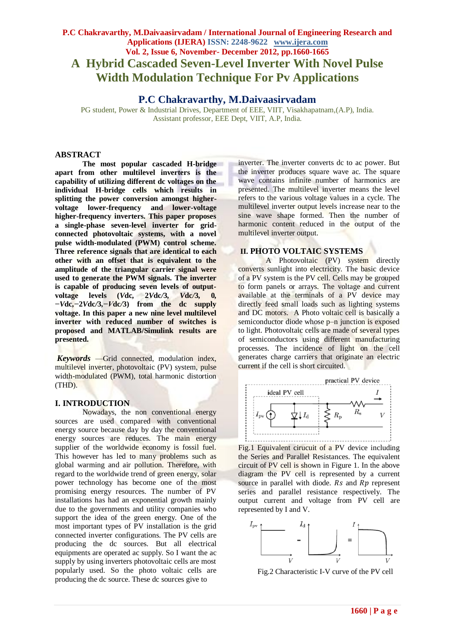# **P.C Chakravarthy, M.Daivaasirvadam / International Journal of Engineering Research and Applications (IJERA) ISSN: 2248-9622 www.ijera.com Vol. 2, Issue 6, November- December 2012, pp.1660-1665 A Hybrid Cascaded Seven-Level Inverter With Novel Pulse Width Modulation Technique For Pv Applications**

# **P.C Chakravarthy, M.Daivaasirvadam**

PG student, Power & Industrial Drives, Department of EEE, VIIT, Visakhapatnam,(A.P), India. Assistant professor, EEE Dept, VIIT, A.P, India.

#### **ABSTRACT**

**The most popular cascaded H-bridge apart from other multilevel inverters is the capability of utilizing different dc voltages on the individual H-bridge cells which results in splitting the power conversion amongst highervoltage lower-frequency and lower-voltage higher-frequency inverters. This paper proposes a single-phase seven-level inverter for gridconnected photovoltaic systems, with a novel pulse width-modulated (PWM) control scheme. Three reference signals that are identical to each other with an offset that is equivalent to the amplitude of the triangular carrier signal were used to generate the PWM signals. The inverter is capable of producing seven levels of outputvoltage levels (***V***dc***,* **2***V***dc***/***3***, V***dc***/***3***,* **0***, −V***dc***,−***2***V***dc***/***3***,−V***dc***/***3) from the dc supply voltage. In this paper a new nine level multilevel inverter with reduced number of switches is proposed and MATLAB/Simulink results are presented.**

*Keywords* —Grid connected, modulation index, multilevel inverter, photovoltaic (PV) system, pulse width-modulated (PWM), total harmonic distortion (THD).

#### **I. INTRODUCTION**

Nowadays, the non conventional energy sources are used compared with conventional energy source because day by day the conventional energy sources are reduces. The main energy supplier of the worldwide economy is fossil fuel. This however has led to many problems such as global warming and air pollution. Therefore, with regard to the worldwide trend of green energy, solar power technology has become one of the most promising energy resources. The number of PV installations has had an exponential growth mainly due to the governments and utility companies who support the idea of the green energy. One of the most important types of PV installation is the grid connected inverter configurations. The PV cells are producing the dc sources. But all electrical equipments are operated ac supply. So I want the ac supply by using inverters photovoltaic cells are most popularly used. So the photo voltaic cells are producing the dc source. These dc sources give to

inverter. The inverter converts dc to ac power. But the inverter produces square wave ac. The square wave contains infinite number of harmonics are presented. The multilevel inverter means the level refers to the various voltage values in a cycle. The multilevel inverter output levels increase near to the sine wave shape formed. Then the number of harmonic content reduced in the output of the multilevel inverter output.

# **II. PHOTO VOLTAIC SYSTEMS**

A Photovoltaic (PV) system directly converts sunlight into electricity. The basic device of a PV system is the PV cell. Cells may be grouped to form panels or arrays. The voltage and current available at the terminals of a PV device may directly feed small loads such as lighting systems and DC motors. A Photo voltaic cell is basically a semiconductor diode whose  $p$ –n junction is exposed to light. Photovoltaic cells are made of several types of semiconductors using different manufacturing processes. The incidence of light on the cell generates charge carriers that originate an electric current if the cell is short circuited.



Fig.1 Equivalent cirucuit of a PV device including the Series and Parallel Resistances. The equivalent circuit of PV cell is shown in Figure 1. In the above diagram the PV cell is represented by a current source in parallel with diode.  $Rs$  and  $Rp$  represent series and parallel resistance respectively. The output current and voltage from PV cell are represented by I and V.



Fig.2 Characteristic I-V curve of the PV cell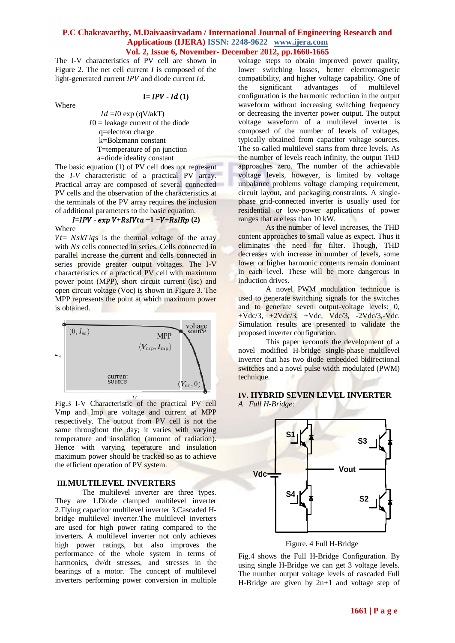The I-V characteristics of PV cell are shown in Figure 2. The net cell current *I* is composed of the light-generated current  $IPV$  and diode current  $Id$ .

Where

 $I = IPV - Id(1)$ 

 $Id = I0$  exp (qV/akT)  $I0 =$  leakage current of the diode q=electron charge k=Bolzmann constant T=temperature of pn junction a=diode ideality constant

The basic equation (1) of PV cell does not represent the *I-V* characteristic of a practical PV array. Practical array are composed of several connected PV cells and the observation of the characteristics at the terminals of the PV array requires the inclusion of additional parameters to the basic equation.

# $I=IPV - exp V + RsIVta - 1 - V + RsIRp(2)$ Where

 $Vt = NskT/gs$  is the thermal voltage of the array with Ns cells connected in series. Cells connected in parallel increase the current and cells connected in series provide greater output voltages. The I-V characteristics of a practical PV cell with maximum power point (MPP), short circuit current (Isc) and open circuit voltage (Voc) is shown in Figure 3. The MPP represents the point at which maximum power is obtained.



Fig.3 I-V Characteristic of the practical PV cell Vmp and Imp are voltage and current at MPP respectively. The output from PV cell is not the same throughout the day; it varies with varying temperature and insolation (amount of radiation). Hence with varying teperature and insulation maximum power should be tracked so as to achieve the efficient operation of PV system.

# **III.MULTILEVEL INVERTERS**

The multilevel inverter are three types. They are 1.Diode clamped multilevel inverter 2.Flying capacitor multilevel inverter 3.Cascaded Hbridge multilevel inverter.The multilevel inverters are used for high power rating compared to the inverters. A multilevel inverter not only achieves high power ratings, but also improves the performance of the whole system in terms of harmonics, dv/dt stresses, and stresses in the bearings of a motor. The concept of multilevel inverters performing power conversion in multiple voltage steps to obtain improved power quality, lower switching losses, better electromagnetic compatibility, and higher voltage capability. One of the significant advantages of multilevel configuration is the harmonic reduction in the output waveform without increasing switching frequency or decreasing the inverter power output. The output voltage waveform of a multilevel inverter is composed of the number of levels of voltages, typically obtained from capacitor voltage sources. The so-called multilevel starts from three levels. As the number of levels reach infinity, the output THD approaches zero. The number of the achievable voltage levels, however, is limited by voltage unbalance problems voltage clamping requirement, circuit layout, and packaging constraints. A singlephase grid-connected inverter is usually used for residential or low-power applications of power ranges that are less than 10 kW.

As the number of level increases, the THD content approaches to small value as expect. Thus it eliminates the need for filter. Though, THD decreases with increase in number of levels, some lower or higher harmonic contents remain dominant in each level. These will be more dangerous in induction drives.

A novel PWM modulation technique is used to generate switching signals for the switches and to generate seven output-voltage levels: 0,  $+Vdc/3$ ,  $+2Vdc/3$ ,  $+Vdc$ ,  $Vdc/3$ ,  $-2Vdc/3$ ,  $Vdc$ . Simulation results are presented to validate the proposed inverter configuration.

This paper recounts the development of a novel modified H-bridge single-phase multilevel inverter that has two diode embedded bidirectional switches and a novel pulse width modulated (PWM) technique.

# **IV. HYBRID SEVEN LEVEL INVERTER** *A Full H-Bridge:*



Figure. 4 Full H-Bridge

Fig.4 shows the Full H-Bridge Configuration. By using single H-Bridge we can get 3 voltage levels. The number output voltage levels of cascaded Full H-Bridge are given by  $2n+1$  and voltage step of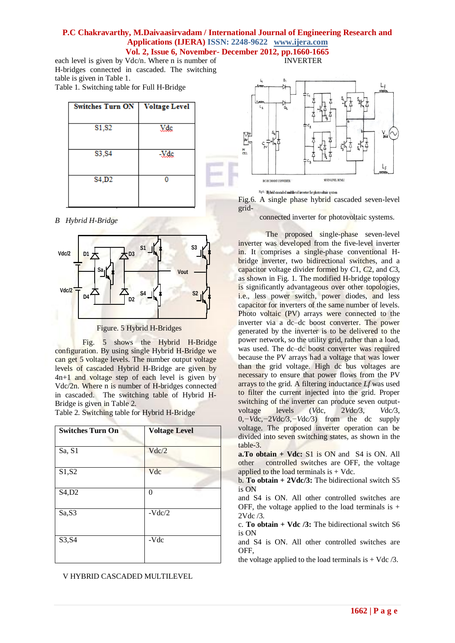each level is given by Vdc/n. Where n is number of H-bridges connected in cascaded. The switching table is given in Table 1. Table 1. Switching table for Full H-Bridge

| <b>Switches Turn ON</b> | <b>Voltage Level</b> |  |  |
|-------------------------|----------------------|--|--|
| S1, S2                  | Vdc                  |  |  |
| S3, S4                  | -Vdc                 |  |  |
| S4,D2                   |                      |  |  |

*B Hybrid H-Bridge*



Figure. 5 Hybrid H-Bridges

Fig. 5 shows the Hybrid H-Bridge configuration. By using single Hybrid H-Bridge we can get 5 voltage levels. The number output voltage levels of cascaded Hybrid H-Bridge are given by 4n+1 and voltage step of each level is given by Vdc/2n. Where n is number of H-bridges connected in cascaded. The switching table of Hybrid H-Bridge is given in Table 2.

Table 2. Switching table for Hybrid H-Bridge

| <b>Switches Turn On</b> | <b>Voltage Level</b> |
|-------------------------|----------------------|
| Sa, S1                  | Vdc/2                |
| S1, S2                  | Vdc                  |
| S4, D2                  | 0                    |
| Sa,S3                   | $-Vdc/2$             |
| S3, S4                  | -Vdc                 |

V HYBRID CASCADED MULTILEVEL



INVERTER

Fig.6: Hybrid essesdad multilaval invartar for photovoltaic system

Fig.6. A single phase hybrid cascaded seven-level grid-

connected inverter for photovoltaic systems.

The proposed single-phase seven-level inverter was developed from the five-level inverter in. It comprises a single-phase conventional Hbridge inverter, two bidirectional switches, and a capacitor voltage divider formed by *C*1, *C*2, and *C*3, as shown in Fig. 1. The modified H-bridge topology is significantly advantageous over other topologies, i.e., less power switch, power diodes, and less capacitor for inverters of the same number of levels. Photo voltaic (PV) arrays were connected to the inverter via a dc–dc boost converter. The power generated by the inverter is to be delivered to the power network, so the utility grid, rather than a load, was used. The dc–dc boost converter was required because the PV arrays had a voltage that was lower than the grid voltage. High dc bus voltages are necessary to ensure that power flows from the PV arrays to the grid. A filtering inductance *Lf* was used to filter the current injected into the grid. Proper switching of the inverter can produce seven outputvoltage levels (*V*dc*,* 2*V*dc*/*3*, V*dc*/*3, 0*,−V*dc*,−*2*V*dc*/*3*,−V*dc*/*3) from the dc supply voltage. The proposed inverter operation can be divided into seven switching states, as shown in the table-3.

**a.To obtain + Vdc:** S1 is ON and S4 is ON. All other controlled switches are OFF, the voltage applied to the load terminals is  $+$  Vdc.

b. **To obtain + 2Vdc/3:** The bidirectional switch S5 is ON

and S4 is ON. All other controlled switches are OFF, the voltage applied to the load terminals is  $+$ 2Vdc /3.

c. **To obtain + Vdc /3:** The bidirectional switch S6 is ON

and S4 is ON. All other controlled switches are OFF,

the voltage applied to the load terminals is  $+$  Vdc  $/3$ .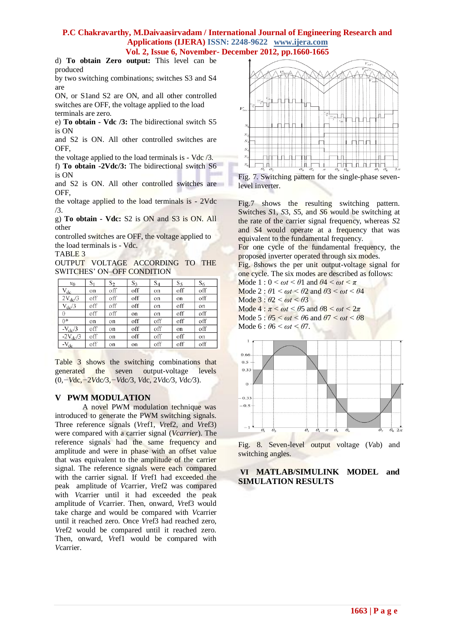d) **To obtain Zero output:** This level can be produced

by two switching combinations; switches S3 and S4 are

ON, or S1and S2 are ON, and all other controlled switches are OFF, the voltage applied to the load terminals are zero.

e) **To obtain - Vdc /3:** The bidirectional switch S5 is ON

and S2 is ON. All other controlled switches are OFF,

the voltage applied to the load terminals is - Vdc /3.

f) **To obtain -2Vdc/3:** The bidirectional switch S6 is ON

and S2 is ON. All other controlled switches are OFF,

the voltage applied to the load terminals is - 2Vdc /3.

g) **To obtain - Vdc:** S2 is ON and S3 is ON. All other

controlled switches are OFF, the voltage applied to the load terminals is - Vdc.

TABLE 3

OUTPUT VOLTAGE ACCORDING TO THE SWITCHES' ON–OFF CONDITION

| $v_0$           | $S_1$ | S <sub>2</sub> | $S_3$ | $S_4$ | $S_5$ | $S_6$ |
|-----------------|-------|----------------|-------|-------|-------|-------|
| $V_{dc}$        | on    | off            | off   | on    | off   | off   |
| $2V_{dc}/3$     | off   | off            | off   | on    | on    | off   |
| $V_{dc}/3$      | off   | off            | off   | on    | off   | on    |
| $\theta$        | off   | off            | on    | on    | off   | off   |
| $0*$            | on    | on             | off   | off   | off   | off   |
| $-V_{\rm dc}/3$ | off   | on             | off   | off   | on    | off   |
| $-2V_{dc}/3$    | off   | on             | off   | off   | off   | on    |
| $-V_{dc}$       | off   | on             | on    | off   | off   | off   |

Table 3 shows the switching combinations that generated the seven output-voltage levels (0*,−V*dc*,−*2*V*dc*/*3*,−V*dc*/*3*, V*dc*,* 2*V*dc*/*3*, V*dc*/*3).

# **V PWM MODULATION**

A novel PWM modulation technique was introduced to generate the PWM switching signals. Three reference signals (*V*ref1, *V*ref2, and *V*ref3) were compared with a carrier signal (*Vcarrier*). The reference signals had the same frequency and amplitude and were in phase with an offset value that was equivalent to the amplitude of the carrier signal. The reference signals were each compared with the carrier signal. If *V*ref1 had exceeded the peak amplitude of *V*carrier, *V*ref2 was compared with *V*carrier until it had exceeded the peak amplitude of *V*carrier. Then, onward, *V*ref3 would take charge and would be compared with *V*carrier until it reached zero. Once *V*ref3 had reached zero, *V*ref2 would be compared until it reached zero. Then, onward, *V*ref1 would be compared with *V*carrier.



Fig. 7. Switching pattern for the single-phase sevenlevel inverter.

Fig.7 shows the resulting switching pattern. Switches *S*1, *S*3, *S*5, and *S*6 would be switching at the rate of the carrier signal frequency, whereas *S*2 and *S*4 would operate at a frequency that was equivalent to the fundamental frequency.

For one cycle of the fundamental frequency, the proposed inverter operated through six modes.

Fig. 8shows the per unit output-voltage signal for one cycle. The six modes are described as follows:

Mode  $1: 0 \le \omega t \le \theta$ 1 and  $\theta$ 4  $\le \omega t \le \pi$ 

Mode 2 :  $\theta$ 1  $\leq \omega t \leq \theta$ 2 and  $\theta$ 3  $\leq \omega t \leq \theta$ 4

Mode 3 : *θ*2 *< ωt < θ*3

Mode  $4: \pi \le \omega t \le \theta 5$  and  $\theta 8 \le \omega t \le 2\pi$ Mode  $5: \theta 5 < \omega t < \theta 6$  and  $\theta 7 < \omega t < \theta 8$ Mode 6 : *θ*6 *< ωt < θ*7*.*



Fig. 8. Seven-level output voltage (*V*ab) and switching angles.

# **VI MATLAB/SIMULINK MODEL and SIMULATION RESULTS**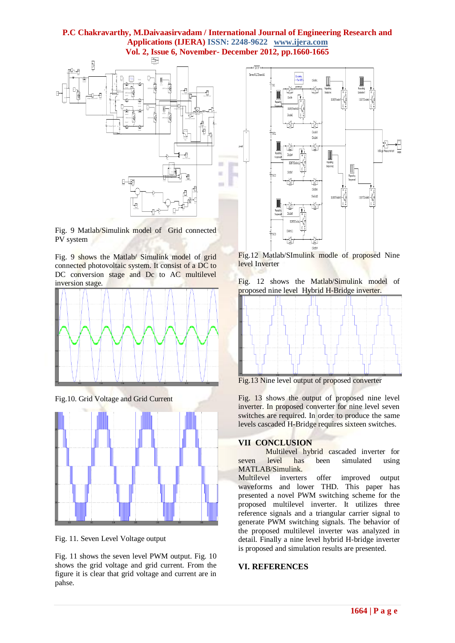

Fig. 9 Matlab/Simulink model of Grid connected PV system

Fig. 9 shows the Matlab/ Simulink model of grid connected photovoltaic system. It consist of a DC to DC conversion stage and Dc to AC multilevel inversion stage.



Fig.10. Grid Voltage and Grid Current



Fig. 11. Seven Level Voltage output

Fig. 11 shows the seven level PWM output. Fig. 10 shows the grid voltage and grid current. From the figure it is clear that grid voltage and current are in pahse.



Fig.12 Matlab/SImulink modle of proposed Nine level Inverter

Fig. 12 shows the Matlab/Simulink model of proposed nine level Hybrid H-Bridge inverter.



Fig.13 Nine level output of proposed converter

Fig. 13 shows the output of proposed nine level inverter. In proposed converter for nine level seven switches are required. In order to produce the same levels cascaded H-Bridge requires sixteen switches.

# **VII CONCLUSION**

Multilevel hybrid cascaded inverter for seven level has been simulated using MATLAB/Simulink.

Multilevel inverters offer improved output waveforms and lower THD. This paper has presented a novel PWM switching scheme for the proposed multilevel inverter. It utilizes three reference signals and a triangular carrier signal to generate PWM switching signals. The behavior of the proposed multilevel inverter was analyzed in detail. Finally a nine level hybrid H-bridge inverter is proposed and simulation results are presented.

# **VI. REFERENCES**